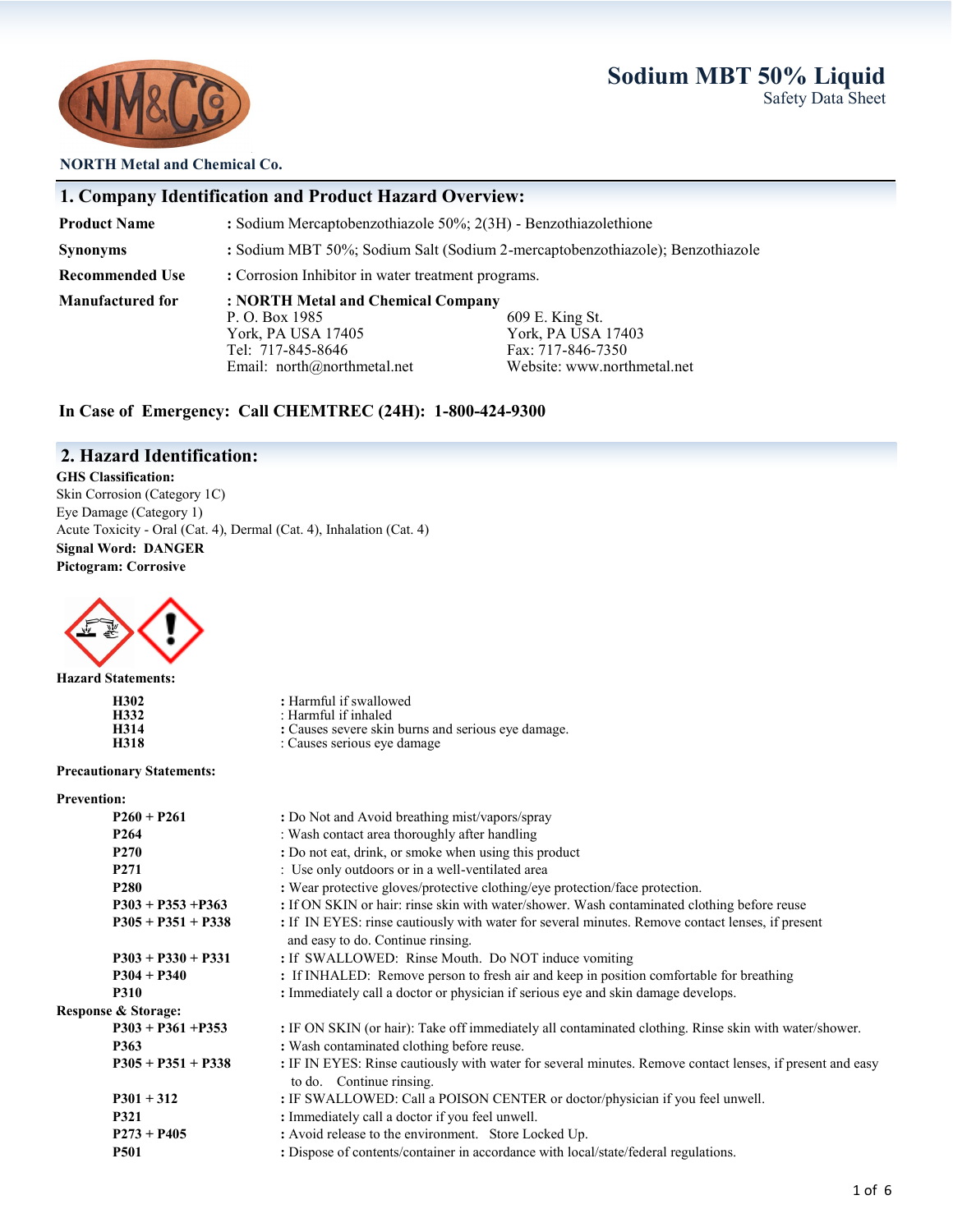

#### **NORTH Metal and Chemical Co.**

#### **1. Company Identification and Product Hazard Overview:**

**Product Name :** Sodium Mercaptobenzothiazole 50%; 2(3H) - Benzothiazolethione **Synonyms :** Sodium MBT 50%; Sodium Salt (Sodium 2-mercaptobenzothiazole); Benzothiazole **Recommended Use : Corrosion Inhibitor in water treatment programs. Manufactured for : NORTH Metal and Chemical Company** P. O. Box 1985 609 E. King St.<br>
York, PA USA 17405 609 E. King St.

York, PA USA 17403<br>Fax: 717-846-7350 Tel: 717-845-8646<br>
Email: north@northmetal.net<br>
Website: www.northmetal.net<br>
Website: www.northmetal.net

**In Case of Emergency: Call CHEMTREC (24H): 1-800-424-9300**

Email: north@northmetal.net

#### **2. Hazard Identification:**

**GHS Classification:**  Skin Corrosion (Category 1C) Eye Damage (Category 1) Acute Toxicity - Oral (Cat. 4), Dermal (Cat. 4), Inhalation (Cat. 4) **Signal Word: DANGER Pictogram: Corrosive**



**Hazard Statements:**

| H302 |  |
|------|--|
| H332 |  |
| H314 |  |
| H318 |  |

**:** Harmful if swallowed

- **H332** : Harmful if inhaled : Causes severe skin burns and serious eye damage.
	- **H318** : Causes serious eye damage

#### **Precautionary Statements:**

| <b>Prevention:</b>             |                                                                                                                                       |
|--------------------------------|---------------------------------------------------------------------------------------------------------------------------------------|
| $P260 + P261$                  | : Do Not and Avoid breathing mist/vapors/spray                                                                                        |
| P <sub>264</sub>               | : Wash contact area thoroughly after handling                                                                                         |
| P <sub>270</sub>               | : Do not eat, drink, or smoke when using this product                                                                                 |
| P <sub>271</sub>               | : Use only outdoors or in a well-ventilated area                                                                                      |
| P <sub>280</sub>               | : Wear protective gloves/protective clothing/eye protection/face protection.                                                          |
| $P303 + P353 + P363$           | : If ON SKIN or hair: rinse skin with water/shower. Wash contaminated clothing before reuse                                           |
| $P305 + P351 + P338$           | : If IN EYES: rinse cautiously with water for several minutes. Remove contact lenses, if present<br>and easy to do. Continue rinsing. |
| $P303 + P330 + P331$           | : If SWALLOWED: Rinse Mouth. Do NOT induce vomiting                                                                                   |
| $P304 + P340$                  | : If INHALED: Remove person to fresh air and keep in position comfortable for breathing                                               |
| <b>P310</b>                    | : Immediately call a doctor or physician if serious eye and skin damage develops.                                                     |
| <b>Response &amp; Storage:</b> |                                                                                                                                       |
| $P303 + P361 + P353$           | : IF ON SKIN (or hair): Take off immediately all contaminated clothing. Rinse skin with water/shower.                                 |
| P363                           | : Wash contaminated clothing before reuse.                                                                                            |
| $P305 + P351 + P338$           | : IF IN EYES: Rinse cautiously with water for several minutes. Remove contact lenses, if present and easy<br>to do. Continue rinsing. |
| $P301 + 312$                   | : IF SWALLOWED: Call a POISON CENTER or doctor/physician if you feel unwell.                                                          |
| <b>P321</b>                    | : Immediately call a doctor if you feel unwell.                                                                                       |
| $P273 + P405$                  | : Avoid release to the environment. Store Locked Up.                                                                                  |
| <b>P501</b>                    | : Dispose of contents/container in accordance with local/state/federal regulations.                                                   |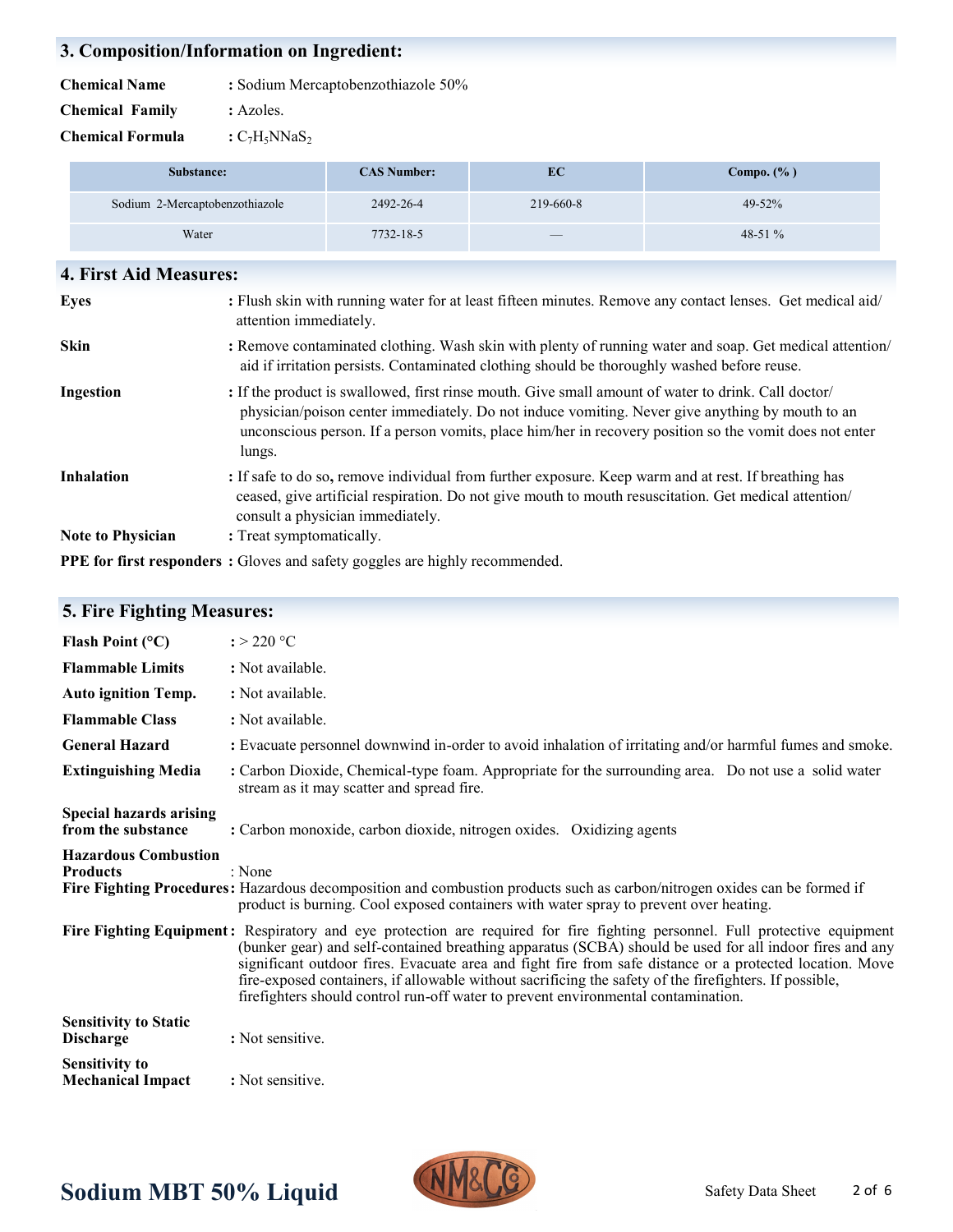# **3. Composition/Information on Ingredient:**

| <b>Chemical Name</b><br>: Sodium Mercaptobenzothiazole 50% |
|------------------------------------------------------------|
|------------------------------------------------------------|

**Chemical Family :** Azoles.

**Chemical Formula**  $:C_7H_5N\text{NaS}_2$ 

| Substance:                     | <b>CAS Number:</b> | EC                              | Compo. $(\% )$ |
|--------------------------------|--------------------|---------------------------------|----------------|
| Sodium 2-Mercaptobenzothiazole | 2492-26-4          | 219-660-8                       | $49 - 52%$     |
| Water                          | $7732 - 18 - 5$    | $\hspace{0.1mm}-\hspace{0.1mm}$ | $48-51%$       |

| 4. First Aid Measures:   |                                                                                                                                                                                                                                                                                                                            |
|--------------------------|----------------------------------------------------------------------------------------------------------------------------------------------------------------------------------------------------------------------------------------------------------------------------------------------------------------------------|
| <b>Eyes</b>              | : Flush skin with running water for at least fifteen minutes. Remove any contact lenses. Get medical aid/<br>attention immediately.                                                                                                                                                                                        |
| <b>Skin</b>              | : Remove contaminated clothing. Wash skin with plenty of running water and soap. Get medical attention/<br>aid if irritation persists. Contaminated clothing should be thoroughly washed before reuse.                                                                                                                     |
| Ingestion                | : If the product is swallowed, first rinse mouth. Give small amount of water to drink. Call doctor/<br>physician/poison center immediately. Do not induce vomiting. Never give anything by mouth to an<br>unconscious person. If a person vomits, place him/her in recovery position so the vomit does not enter<br>lungs. |
| <b>Inhalation</b>        | : If safe to do so, remove individual from further exposure. Keep warm and at rest. If breathing has<br>ceased, give artificial respiration. Do not give mouth to mouth resuscitation. Get medical attention/<br>consult a physician immediately.                                                                          |
| <b>Note to Physician</b> | : Treat symptomatically.                                                                                                                                                                                                                                                                                                   |
|                          | <b>PPE for first responders</b> : Gloves and safety goggles are highly recommended.                                                                                                                                                                                                                                        |

| Flash Point $(^{\circ}C)$                            | $: > 220$ °C                                                                                                                                                                                                                                                                                                                                                                                                                                                                                                                                      |
|------------------------------------------------------|---------------------------------------------------------------------------------------------------------------------------------------------------------------------------------------------------------------------------------------------------------------------------------------------------------------------------------------------------------------------------------------------------------------------------------------------------------------------------------------------------------------------------------------------------|
| <b>Flammable Limits</b>                              | : Not available.                                                                                                                                                                                                                                                                                                                                                                                                                                                                                                                                  |
| <b>Auto ignition Temp.</b>                           | : Not available.                                                                                                                                                                                                                                                                                                                                                                                                                                                                                                                                  |
| <b>Flammable Class</b>                               | : Not available.                                                                                                                                                                                                                                                                                                                                                                                                                                                                                                                                  |
| <b>General Hazard</b>                                | : Evacuate personnel downwind in-order to avoid inhalation of irritating and/or harmful fumes and smoke.                                                                                                                                                                                                                                                                                                                                                                                                                                          |
| <b>Extinguishing Media</b>                           | : Carbon Dioxide, Chemical-type foam. Appropriate for the surrounding area. Do not use a solid water<br>stream as it may scatter and spread fire.                                                                                                                                                                                                                                                                                                                                                                                                 |
| <b>Special hazards arising</b><br>from the substance | : Carbon monoxide, carbon dioxide, nitrogen oxides. Oxidizing agents                                                                                                                                                                                                                                                                                                                                                                                                                                                                              |
| <b>Hazardous Combustion</b><br><b>Products</b>       | : None<br>Fire Fighting Procedures: Hazardous decomposition and combustion products such as carbon/nitrogen oxides can be formed if<br>product is burning. Cool exposed containers with water spray to prevent over heating.                                                                                                                                                                                                                                                                                                                      |
|                                                      | Fire Fighting Equipment: Respiratory and eye protection are required for fire fighting personnel. Full protective equipment<br>(bunker gear) and self-contained breathing apparatus (SCBA) should be used for all indoor fires and any<br>significant outdoor fires. Evacuate area and fight fire from safe distance or a protected location. Move<br>fire-exposed containers, if allowable without sacrificing the safety of the firefighters. If possible,<br>firefighters should control run-off water to prevent environmental contamination. |
| <b>Sensitivity to Static</b><br><b>Discharge</b>     | : Not sensitive.                                                                                                                                                                                                                                                                                                                                                                                                                                                                                                                                  |
| <b>Sensitivity to</b><br><b>Mechanical Impact</b>    | : Not sensitive.                                                                                                                                                                                                                                                                                                                                                                                                                                                                                                                                  |

# **5. Fire Fighting Measures:**

# Sodium MBT 50% Liquid **NMALLY** Safety Data Sheet

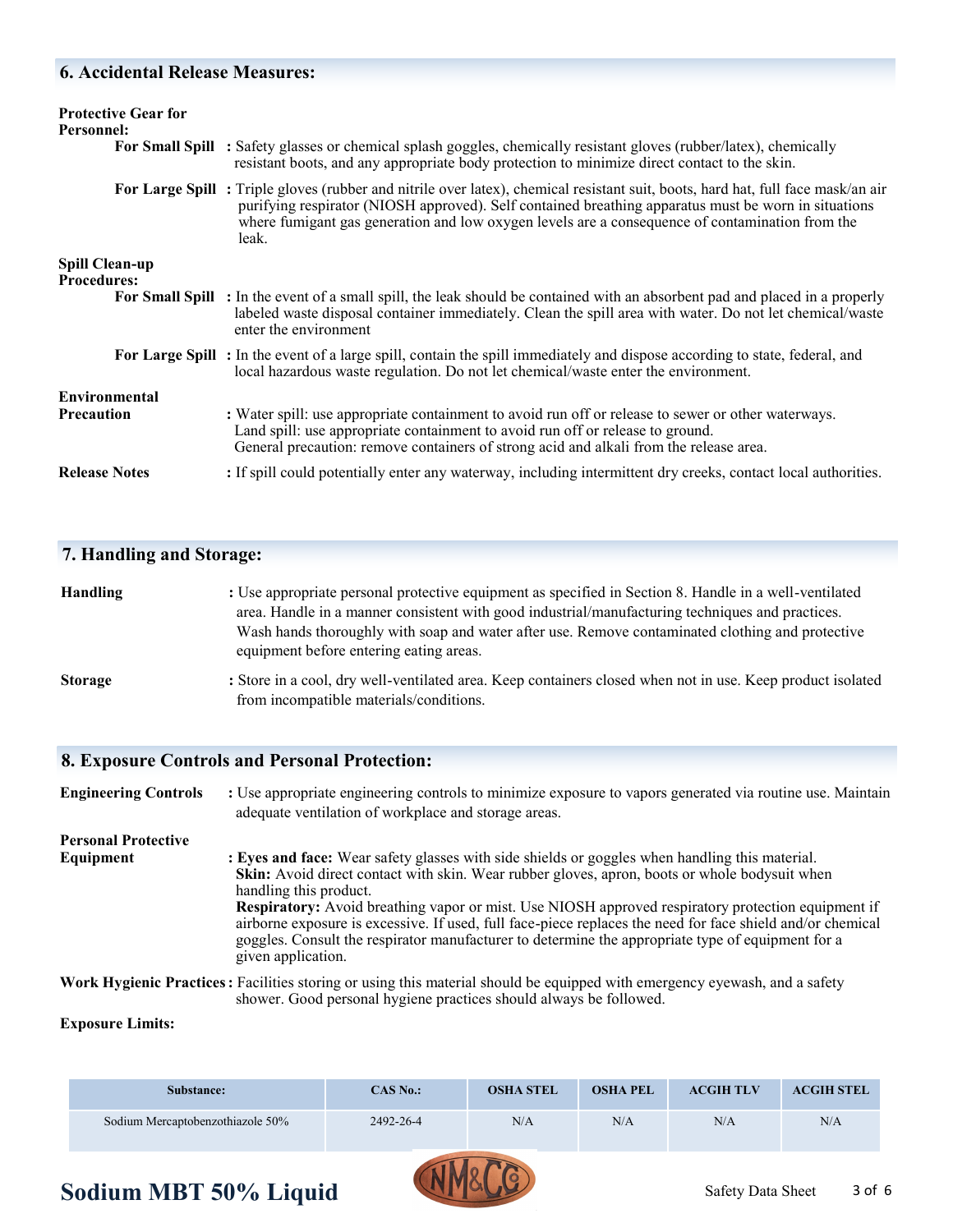#### **6. Accidental Release Measures:**

| <b>Protective Gear for</b><br>Personnel:    | For Small Spill : Safety glasses or chemical splash goggles, chemically resistant gloves (rubber/latex), chemically<br>resistant boots, and any appropriate body protection to minimize direct contact to the skin.                                                                                                                                 |
|---------------------------------------------|-----------------------------------------------------------------------------------------------------------------------------------------------------------------------------------------------------------------------------------------------------------------------------------------------------------------------------------------------------|
|                                             | For Large Spill: Triple gloves (rubber and nitrile over latex), chemical resistant suit, boots, hard hat, full face mask/an air<br>purifying respirator (NIOSH approved). Self contained breathing apparatus must be worn in situations<br>where fumigant gas generation and low oxygen levels are a consequence of contamination from the<br>leak. |
| <b>Spill Clean-up</b><br><b>Procedures:</b> |                                                                                                                                                                                                                                                                                                                                                     |
|                                             | <b>For Small Spill</b> : In the event of a small spill, the leak should be contained with an absorbent pad and placed in a properly<br>labeled waste disposal container immediately. Clean the spill area with water. Do not let chemical/waste<br>enter the environment                                                                            |
|                                             | For Large Spill: In the event of a large spill, contain the spill immediately and dispose according to state, federal, and<br>local hazardous waste regulation. Do not let chemical/waste enter the environment.                                                                                                                                    |
| <b>Environmental</b>                        |                                                                                                                                                                                                                                                                                                                                                     |
| <b>Precaution</b>                           | : Water spill: use appropriate containment to avoid run off or release to sewer or other waterways.<br>Land spill: use appropriate containment to avoid run off or release to ground.<br>General precaution: remove containers of strong acid and alkali from the release area.                                                                     |
| <b>Release Notes</b>                        | : If spill could potentially enter any waterway, including intermittent dry creeks, contact local authorities.                                                                                                                                                                                                                                      |

#### **7. Handling and Storage:**

| <b>Handling</b> | : Use appropriate personal protective equipment as specified in Section 8. Handle in a well-ventilated |
|-----------------|--------------------------------------------------------------------------------------------------------|
|                 | area. Handle in a manner consistent with good industrial/manufacturing techniques and practices.       |
|                 | Wash hands thoroughly with soap and water after use. Remove contaminated clothing and protective       |
|                 | equipment before entering eating areas.                                                                |
|                 |                                                                                                        |

**Storage** : Store in a cool, dry well-ventilated area. Keep containers closed when not in use. Keep product isolated from incompatible materials/conditions.

#### **8. Exposure Controls and Personal Protection:**

**Engineering Controls :** Use appropriate engineering controls to minimize exposure to vapors generated via routine use. Maintain adequate ventilation of workplace and storage areas. **Personal Protective Equipment** : Eyes and face: Wear safety glasses with side shields or goggles when handling this material. **Skin:** Avoid direct contact with skin. Wear rubber gloves, apron, boots or whole bodysuit when handling this product. **Respiratory:** Avoid breathing vapor or mist. Use NIOSH approved respiratory protection equipment if airborne exposure is excessive. If used, full face-piece replaces the need for face shield and/or chemical goggles. Consult the respirator manufacturer to determine the appropriate type of equipment for a given application. **Work Hygienic Practices:** Facilities storing or using this material should be equipped with emergency eyewash, and a safety shower. Good personal hygiene practices should always be followed.

#### **Exposure Limits:**

| Substance:                       | <b>CAS No.:</b> | <b>OSHA STEL</b> | <b>OSHA PEL</b> | <b>ACGIH TLV</b> | <b>ACGIH STEL</b> |
|----------------------------------|-----------------|------------------|-----------------|------------------|-------------------|
| Sodium Mercaptobenzothiazole 50% | 2492-26-4       | N/A              | N/A             | N/A              | N/A               |

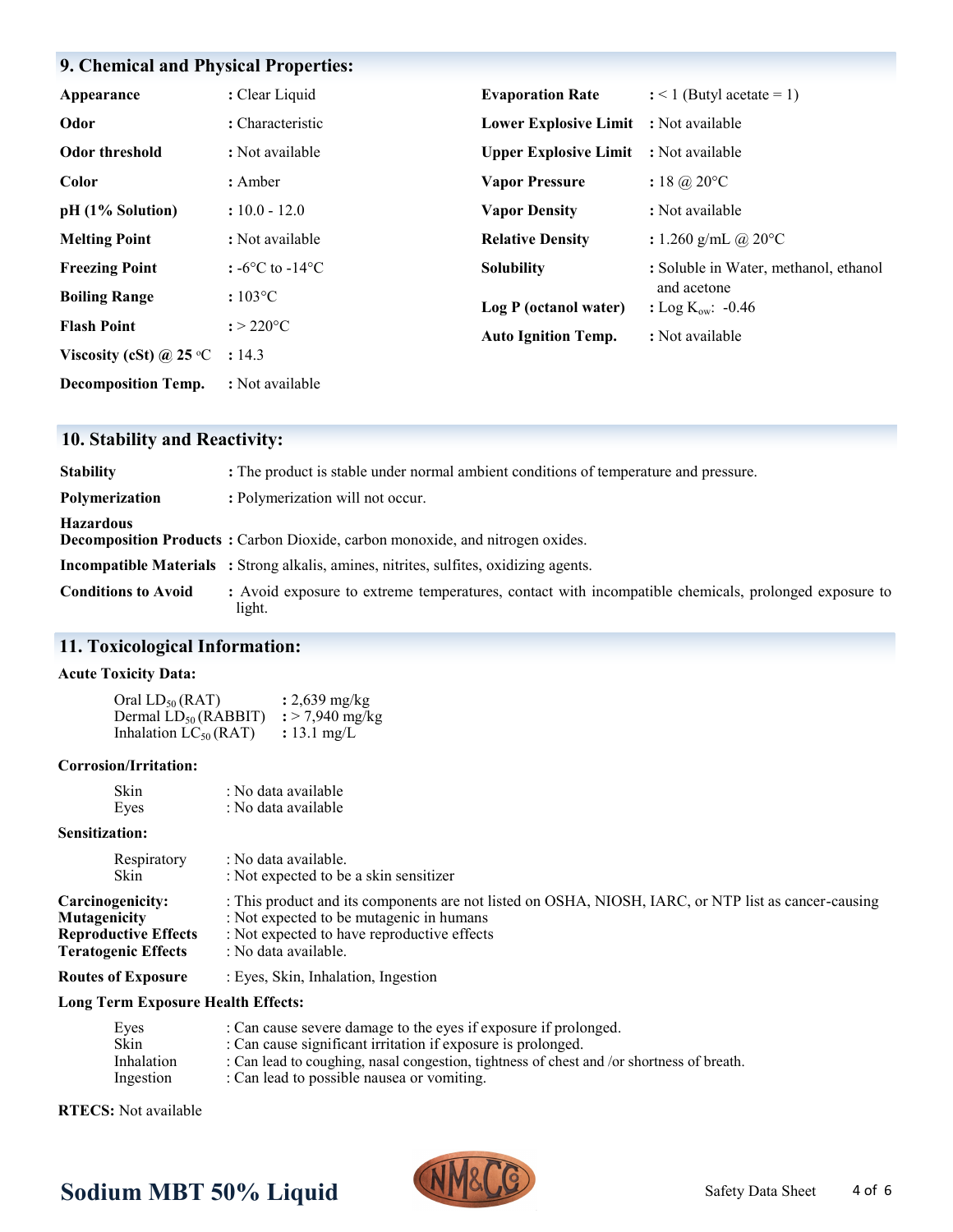### **9. Chemical and Physical Properties:**

| Appearance                       | : Clear Liquid                      | <b>Evaporation Rate</b>               | $:$ < 1 (Butyl acetate = 1)                   |
|----------------------------------|-------------------------------------|---------------------------------------|-----------------------------------------------|
| Odor                             | : Characteristic                    | Lower Explosive Limit : Not available |                                               |
| Odor threshold                   | : Not available                     | <b>Upper Explosive Limit</b>          | : Not available                               |
| Color                            | : Amber                             | <b>Vapor Pressure</b>                 | $: 18 \; \omega \text{,} 20^{\circ} \text{C}$ |
| pH (1% Solution)                 | $: 10.0 - 12.0$                     | <b>Vapor Density</b>                  | : Not available                               |
| <b>Melting Point</b>             | : Not available                     | <b>Relative Density</b>               | : 1.260 g/mL @ 20 $^{\circ}$ C                |
| <b>Freezing Point</b>            | : $-6^{\circ}$ C to $-14^{\circ}$ C | <b>Solubility</b>                     | : Soluble in Water, methanol, ethanol         |
| <b>Boiling Range</b>             | $:103\textdegree C$                 | Log P (octanol water)                 | and acetone<br>: Log $K_{ow}$ : -0.46         |
| <b>Flash Point</b>               | $: > 220$ °C                        | <b>Auto Ignition Temp.</b>            | : Not available                               |
| Viscosity (cSt) @ 25 $\degree$ C | : 14.3                              |                                       |                                               |
| <b>Decomposition Temp.</b>       | : Not available                     |                                       |                                               |

# **10. Stability and Reactivity:**

| <b>Stability</b>           | : The product is stable under normal ambient conditions of temperature and pressure.                           |
|----------------------------|----------------------------------------------------------------------------------------------------------------|
| Polymerization             | : Polymerization will not occur.                                                                               |
| <b>Hazardous</b>           | <b>Decomposition Products:</b> Carbon Dioxide, carbon monoxide, and nitrogen oxides.                           |
|                            | <b>Incompatible Materials</b> : Strong alkalis, amines, nitrites, sulfites, oxidizing agents.                  |
| <b>Conditions to Avoid</b> | : Avoid exposure to extreme temperatures, contact with incompatible chemicals, prolonged exposure to<br>light. |

# **11. Toxicological Information:**

#### **Acute Toxicity Data:**

| Oral $LD_{50} (RAT)$       | : $2,639 \text{ mg/kg}$     |
|----------------------------|-----------------------------|
| Dermal $LD_{50}$ (RABBIT)  | $\frac{1}{2}$ > 7,940 mg/kg |
| Inhalation $LC_{50}$ (RAT) | : 13.1 mg/L                 |

#### **Corrosion/Irritation:**

| Skin | : No data available |
|------|---------------------|
| Eyes | : No data available |

#### **Sensitization:**

| Skin<br>: Not expected to be a skin sensitizer                                                                                                                                                                                                                                                                                  |  |
|---------------------------------------------------------------------------------------------------------------------------------------------------------------------------------------------------------------------------------------------------------------------------------------------------------------------------------|--|
| : This product and its components are not listed on OSHA, NIOSH, IARC, or NTP list as cancer-causing<br>Carcinogenicity:<br><b>Mutagenicity</b><br>: Not expected to be mutagenic in humans<br>: Not expected to have reproductive effects<br><b>Reproductive Effects</b><br>: No data available.<br><b>Teratogenic Effects</b> |  |

#### **Routes of Exposure** : Eyes, Skin, Inhalation, Ingestion

#### **Long Term Exposure Health Effects:**

| Eyes       | : Can cause severe damage to the eyes if exposure if prolonged.                           |
|------------|-------------------------------------------------------------------------------------------|
| Skin       | : Can cause significant irritation if exposure is prolonged.                              |
| Inhalation | : Can lead to coughing, nasal congestion, tightness of chest and /or shortness of breath. |
| Ingestion  | : Can lead to possible nausea or vomiting.                                                |

**RTECS:** Not available



# Sodium MBT 50% Liquid **NMALLY** Safety Data Sheet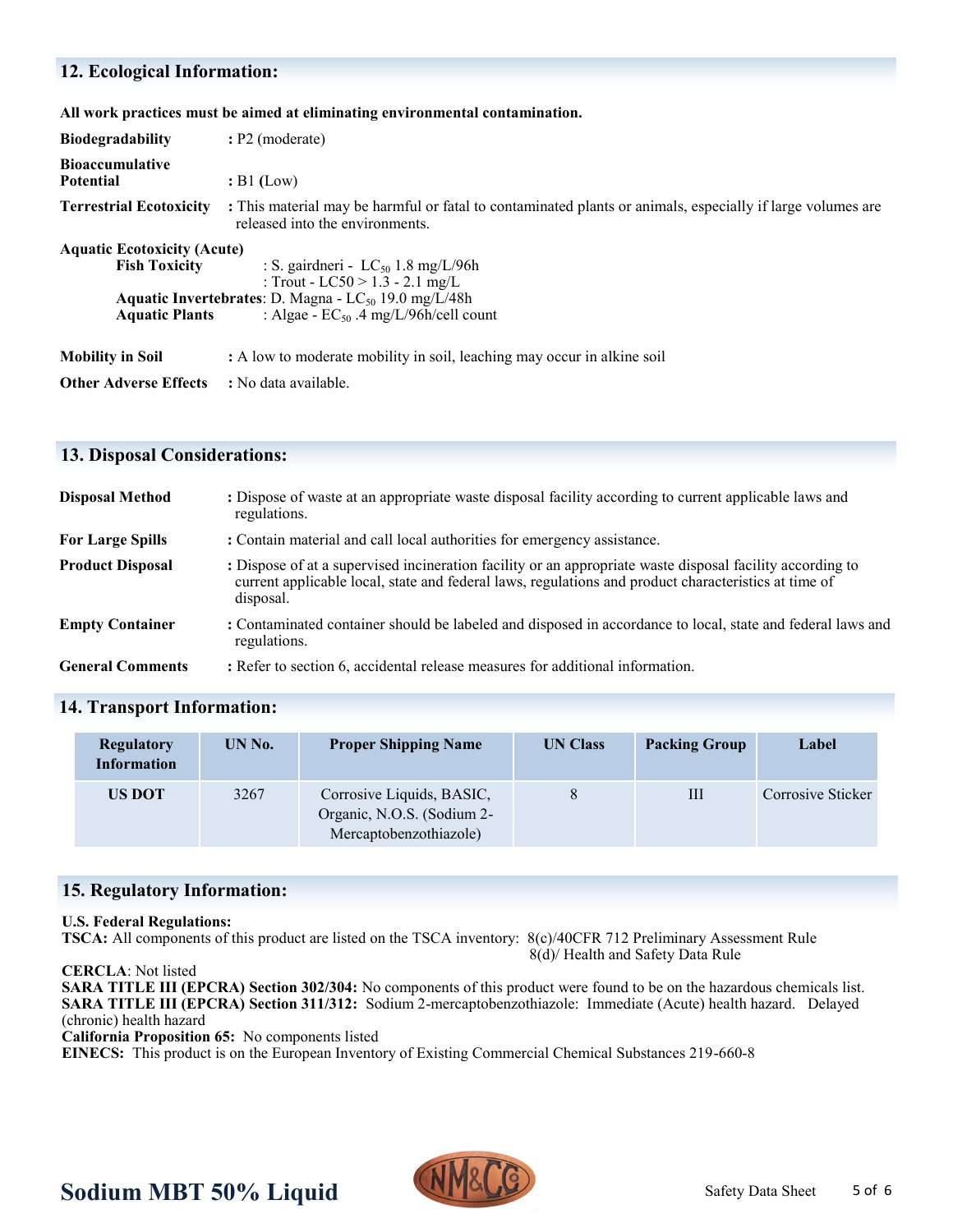### **12. Ecological Information:**

#### **All work practices must be aimed at eliminating environmental contamination.**

| <b>Biodegradability</b>                                                             | $: P2 \text{ (moderate)}$                                                                                                                                                                    |  |  |  |  |
|-------------------------------------------------------------------------------------|----------------------------------------------------------------------------------------------------------------------------------------------------------------------------------------------|--|--|--|--|
| <b>Bioaccumulative</b><br><b>Potential</b>                                          | $B1$ (Low)                                                                                                                                                                                   |  |  |  |  |
| <b>Terrestrial Ecotoxicity</b>                                                      | : This material may be harmful or fatal to contaminated plants or animals, especially if large volumes are<br>released into the environments.                                                |  |  |  |  |
| <b>Aquatic Ecotoxicity (Acute)</b><br><b>Fish Toxicity</b><br><b>Aquatic Plants</b> | : S. gairdneri - $LC_{50}$ 1.8 mg/L/96h<br>: Trout - LC50 > 1.3 - 2.1 mg/L<br><b>Aquatic Invertebrates:</b> D. Magna - $LC_{50}$ 19.0 mg/L/48h<br>: Algae - $EC_{50}$ .4 mg/L/96h/cell count |  |  |  |  |
| <b>Mobility in Soil</b>                                                             | : A low to moderate mobility in soil, leaching may occur in alkine soil                                                                                                                      |  |  |  |  |
| <b>Other Adverse Effects</b>                                                        | : No data available.                                                                                                                                                                         |  |  |  |  |

#### **13. Disposal Considerations:**

| <b>Disposal Method</b>  | : Dispose of waste at an appropriate waste disposal facility according to current applicable laws and<br>regulations.                                                                                                          |
|-------------------------|--------------------------------------------------------------------------------------------------------------------------------------------------------------------------------------------------------------------------------|
| <b>For Large Spills</b> | : Contain material and call local authorities for emergency assistance.                                                                                                                                                        |
| <b>Product Disposal</b> | : Dispose of at a supervised incineration facility or an appropriate waste disposal facility according to<br>current applicable local, state and federal laws, regulations and product characteristics at time of<br>disposal. |
| <b>Empty Container</b>  | : Contaminated container should be labeled and disposed in accordance to local, state and federal laws and<br>regulations.                                                                                                     |
| <b>General Comments</b> | : Refer to section 6, accidental release measures for additional information.                                                                                                                                                  |

#### **14. Transport Information:**

| <b>Regulatory</b><br><b>Information</b> | UN No. | <b>Proper Shipping Name</b>                                                       | <b>UN Class</b> | <b>Packing Group</b> | Label             |
|-----------------------------------------|--------|-----------------------------------------------------------------------------------|-----------------|----------------------|-------------------|
| US DOT                                  | 3267   | Corrosive Liquids, BASIC,<br>Organic, N.O.S. (Sodium 2-<br>Mercaptobenzothiazole) |                 | Ш                    | Corrosive Sticker |

#### **15. Regulatory Information:**

#### **U.S. Federal Regulations:**

**TSCA:** All components of this product are listed on the TSCA inventory: 8(c)/40CFR 712 Preliminary Assessment Rule 8(d)/ Health and Safety Data Rule

**CERCLA**: Not listed

**SARA TITLE III (EPCRA) Section 302/304:** No components of this product were found to be on the hazardous chemicals list. **SARA TITLE III (EPCRA) Section 311/312:** Sodium 2-mercaptobenzothiazole: Immediate (Acute) health hazard. Delayed (chronic) health hazard

**California Proposition 65:** No components listed

**EINECS:** This product is on the European Inventory of Existing Commercial Chemical Substances 219-660-8



# **Sodium MBT 50% Liquid MPPAGE Safety Data Sheet**